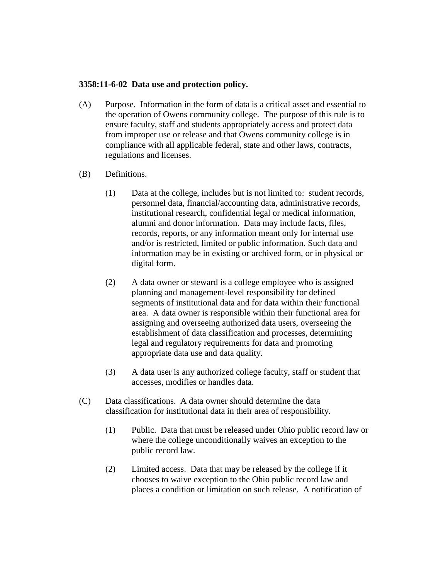## **3358:11-6-02 Data use and protection policy.**

- (A) Purpose. Information in the form of data is a critical asset and essential to the operation of Owens community college. The purpose of this rule is to ensure faculty, staff and students appropriately access and protect data from improper use or release and that Owens community college is in compliance with all applicable federal, state and other laws, contracts, regulations and licenses.
- (B) Definitions.
	- (1) Data at the college, includes but is not limited to: student records, personnel data, financial/accounting data, administrative records, institutional research, confidential legal or medical information, alumni and donor information. Data may include facts, files, records, reports, or any information meant only for internal use and/or is restricted, limited or public information. Such data and information may be in existing or archived form, or in physical or digital form.
	- (2) A data owner or steward is a college employee who is assigned planning and management-level responsibility for defined segments of institutional data and for data within their functional area. A data owner is responsible within their functional area for assigning and overseeing authorized data users, overseeing the establishment of data classification and processes, determining legal and regulatory requirements for data and promoting appropriate data use and data quality.
	- (3) A data user is any authorized college faculty, staff or student that accesses, modifies or handles data.
- (C) Data classifications. A data owner should determine the data classification for institutional data in their area of responsibility.
	- (1) Public. Data that must be released under Ohio public record law or where the college unconditionally waives an exception to the public record law.
	- (2) Limited access. Data that may be released by the college if it chooses to waive exception to the Ohio public record law and places a condition or limitation on such release. A notification of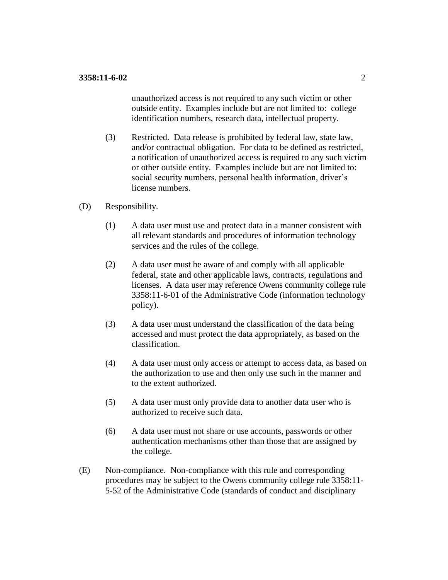unauthorized access is not required to any such victim or other outside entity. Examples include but are not limited to: college identification numbers, research data, intellectual property.

- (3) Restricted. Data release is prohibited by federal law, state law, and/or contractual obligation. For data to be defined as restricted, a notification of unauthorized access is required to any such victim or other outside entity. Examples include but are not limited to: social security numbers, personal health information, driver's license numbers.
- (D) Responsibility.
	- (1) A data user must use and protect data in a manner consistent with all relevant standards and procedures of information technology services and the rules of the college.
	- (2) A data user must be aware of and comply with all applicable federal, state and other applicable laws, contracts, regulations and licenses. A data user may reference Owens community college rule 3358:11-6-01 of the Administrative Code (information technology policy).
	- (3) A data user must understand the classification of the data being accessed and must protect the data appropriately, as based on the classification.
	- (4) A data user must only access or attempt to access data, as based on the authorization to use and then only use such in the manner and to the extent authorized.
	- (5) A data user must only provide data to another data user who is authorized to receive such data.
	- (6) A data user must not share or use accounts, passwords or other authentication mechanisms other than those that are assigned by the college.
- (E) Non-compliance. Non-compliance with this rule and corresponding procedures may be subject to the Owens community college rule 3358:11- 5-52 of the Administrative Code (standards of conduct and disciplinary